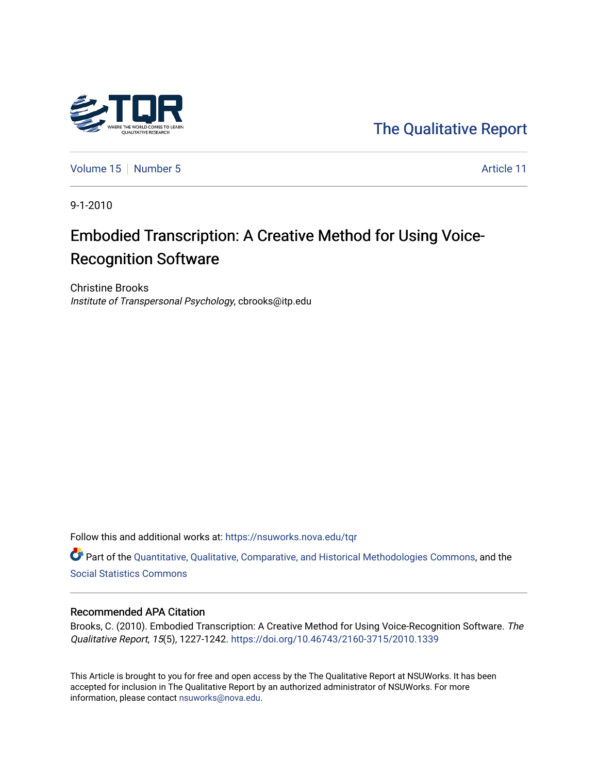

[The Qualitative Report](https://nsuworks.nova.edu/tqr) 

[Volume 15](https://nsuworks.nova.edu/tqr/vol15) [Number 5](https://nsuworks.nova.edu/tqr/vol15/iss5) Article 11

9-1-2010

# Embodied Transcription: A Creative Method for Using Voice-Recognition Software

Christine Brooks Institute of Transpersonal Psychology, cbrooks@itp.edu

Follow this and additional works at: [https://nsuworks.nova.edu/tqr](https://nsuworks.nova.edu/tqr?utm_source=nsuworks.nova.edu%2Ftqr%2Fvol15%2Fiss5%2F11&utm_medium=PDF&utm_campaign=PDFCoverPages) 

Part of the [Quantitative, Qualitative, Comparative, and Historical Methodologies Commons,](http://network.bepress.com/hgg/discipline/423?utm_source=nsuworks.nova.edu%2Ftqr%2Fvol15%2Fiss5%2F11&utm_medium=PDF&utm_campaign=PDFCoverPages) and the [Social Statistics Commons](http://network.bepress.com/hgg/discipline/1275?utm_source=nsuworks.nova.edu%2Ftqr%2Fvol15%2Fiss5%2F11&utm_medium=PDF&utm_campaign=PDFCoverPages) 

#### Recommended APA Citation

Brooks, C. (2010). Embodied Transcription: A Creative Method for Using Voice-Recognition Software. The Qualitative Report, 15(5), 1227-1242. <https://doi.org/10.46743/2160-3715/2010.1339>

This Article is brought to you for free and open access by the The Qualitative Report at NSUWorks. It has been accepted for inclusion in The Qualitative Report by an authorized administrator of NSUWorks. For more information, please contact [nsuworks@nova.edu.](mailto:nsuworks@nova.edu)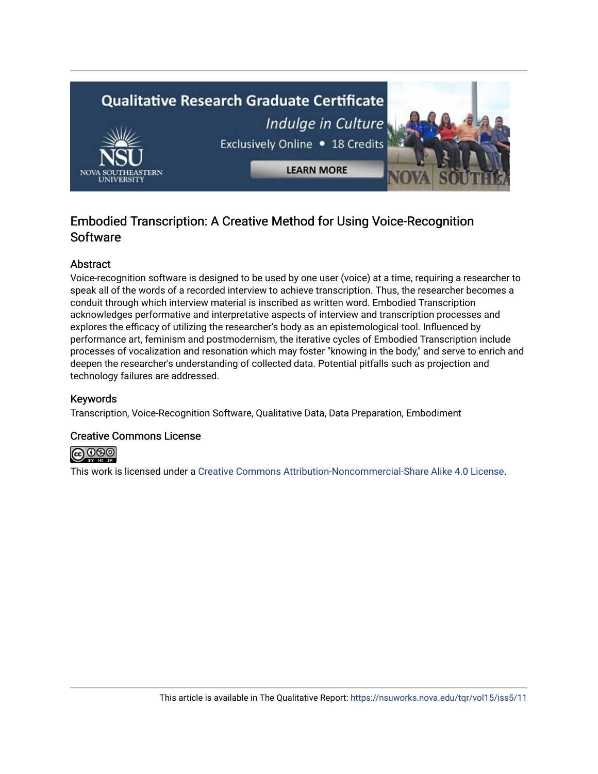

## Embodied Transcription: A Creative Method for Using Voice-Recognition **Software**

## Abstract

Voice-recognition software is designed to be used by one user (voice) at a time, requiring a researcher to speak all of the words of a recorded interview to achieve transcription. Thus, the researcher becomes a conduit through which interview material is inscribed as written word. Embodied Transcription acknowledges performative and interpretative aspects of interview and transcription processes and explores the efficacy of utilizing the researcher's body as an epistemological tool. Influenced by performance art, feminism and postmodernism, the iterative cycles of Embodied Transcription include processes of vocalization and resonation which may foster "knowing in the body," and serve to enrich and deepen the researcher's understanding of collected data. Potential pitfalls such as projection and technology failures are addressed.

## Keywords

Transcription, Voice-Recognition Software, Qualitative Data, Data Preparation, Embodiment

## Creative Commons License



This work is licensed under a [Creative Commons Attribution-Noncommercial-Share Alike 4.0 License](https://creativecommons.org/licenses/by-nc-sa/4.0/).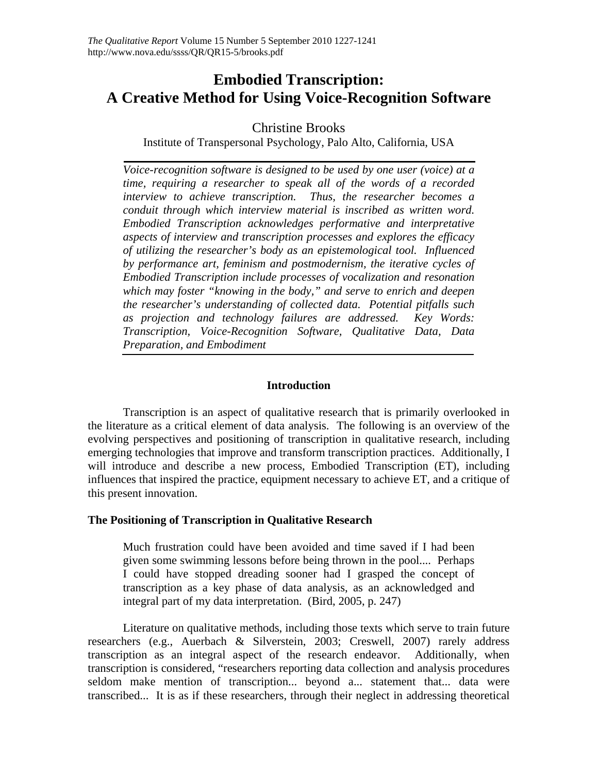## **Embodied Transcription: A Creative Method for Using Voice-Recognition Software**

## Christine Brooks

Institute of Transpersonal Psychology, Palo Alto, California, USA

*Voice-recognition software is designed to be used by one user (voice) at a time, requiring a researcher to speak all of the words of a recorded interview to achieve transcription. Thus, the researcher becomes a conduit through which interview material is inscribed as written word. Embodied Transcription acknowledges performative and interpretative aspects of interview and transcription processes and explores the efficacy of utilizing the researcher's body as an epistemological tool. Influenced by performance art, feminism and postmodernism, the iterative cycles of Embodied Transcription include processes of vocalization and resonation which may foster "knowing in the body," and serve to enrich and deepen the researcher's understanding of collected data. Potential pitfalls such as projection and technology failures are addressed. Key Words: Transcription, Voice-Recognition Software, Qualitative Data, Data Preparation, and Embodiment* 

## **Introduction**

 Transcription is an aspect of qualitative research that is primarily overlooked in the literature as a critical element of data analysis. The following is an overview of the evolving perspectives and positioning of transcription in qualitative research, including emerging technologies that improve and transform transcription practices. Additionally, I will introduce and describe a new process, Embodied Transcription (ET), including influences that inspired the practice, equipment necessary to achieve ET, and a critique of this present innovation.

## **The Positioning of Transcription in Qualitative Research**

Much frustration could have been avoided and time saved if I had been given some swimming lessons before being thrown in the pool.... Perhaps I could have stopped dreading sooner had I grasped the concept of transcription as a key phase of data analysis, as an acknowledged and integral part of my data interpretation. (Bird, 2005, p. 247)

 Literature on qualitative methods, including those texts which serve to train future researchers (e.g., Auerbach & Silverstein, 2003; Creswell, 2007) rarely address transcription as an integral aspect of the research endeavor. Additionally, when transcription is considered, "researchers reporting data collection and analysis procedures seldom make mention of transcription... beyond a... statement that... data were transcribed... It is as if these researchers, through their neglect in addressing theoretical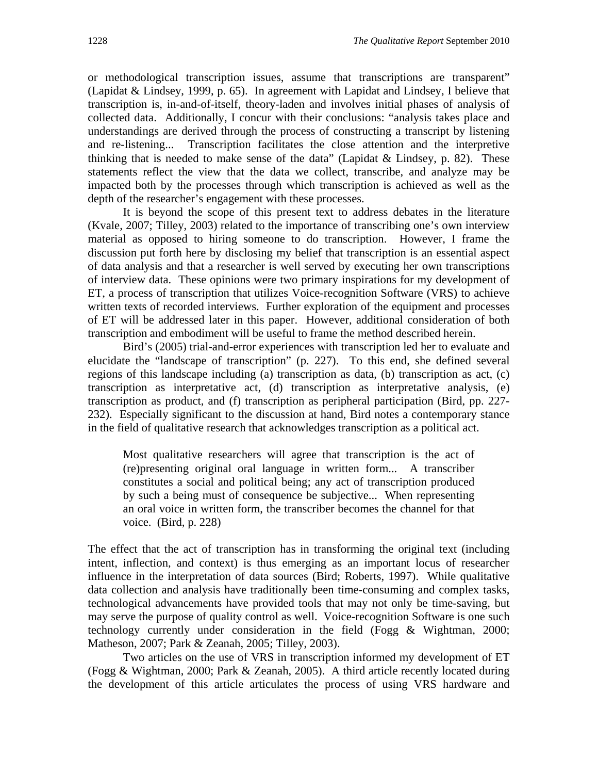or methodological transcription issues, assume that transcriptions are transparent" (Lapidat & Lindsey, 1999, p. 65). In agreement with Lapidat and Lindsey, I believe that transcription is, in-and-of-itself, theory-laden and involves initial phases of analysis of collected data. Additionally, I concur with their conclusions: "analysis takes place and understandings are derived through the process of constructing a transcript by listening and re-listening... Transcription facilitates the close attention and the interpretive thinking that is needed to make sense of the data" (Lapidat  $&$  Lindsey, p. 82). These statements reflect the view that the data we collect, transcribe, and analyze may be impacted both by the processes through which transcription is achieved as well as the depth of the researcher's engagement with these processes.

 It is beyond the scope of this present text to address debates in the literature (Kvale, 2007; Tilley, 2003) related to the importance of transcribing one's own interview material as opposed to hiring someone to do transcription. However, I frame the discussion put forth here by disclosing my belief that transcription is an essential aspect of data analysis and that a researcher is well served by executing her own transcriptions of interview data. These opinions were two primary inspirations for my development of ET, a process of transcription that utilizes Voice-recognition Software (VRS) to achieve written texts of recorded interviews. Further exploration of the equipment and processes of ET will be addressed later in this paper. However, additional consideration of both transcription and embodiment will be useful to frame the method described herein.

 Bird's (2005) trial-and-error experiences with transcription led her to evaluate and elucidate the "landscape of transcription" (p. 227). To this end, she defined several regions of this landscape including (a) transcription as data, (b) transcription as act, (c) transcription as interpretative act, (d) transcription as interpretative analysis, (e) transcription as product, and (f) transcription as peripheral participation (Bird, pp. 227- 232). Especially significant to the discussion at hand, Bird notes a contemporary stance in the field of qualitative research that acknowledges transcription as a political act.

Most qualitative researchers will agree that transcription is the act of (re)presenting original oral language in written form... A transcriber constitutes a social and political being; any act of transcription produced by such a being must of consequence be subjective... When representing an oral voice in written form, the transcriber becomes the channel for that voice. (Bird, p. 228)

The effect that the act of transcription has in transforming the original text (including intent, inflection, and context) is thus emerging as an important locus of researcher influence in the interpretation of data sources (Bird; Roberts, 1997). While qualitative data collection and analysis have traditionally been time-consuming and complex tasks, technological advancements have provided tools that may not only be time-saving, but may serve the purpose of quality control as well. Voice-recognition Software is one such technology currently under consideration in the field (Fogg & Wightman, 2000; Matheson, 2007; Park & Zeanah, 2005; Tilley, 2003).

 Two articles on the use of VRS in transcription informed my development of ET (Fogg & Wightman, 2000; Park & Zeanah, 2005). A third article recently located during the development of this article articulates the process of using VRS hardware and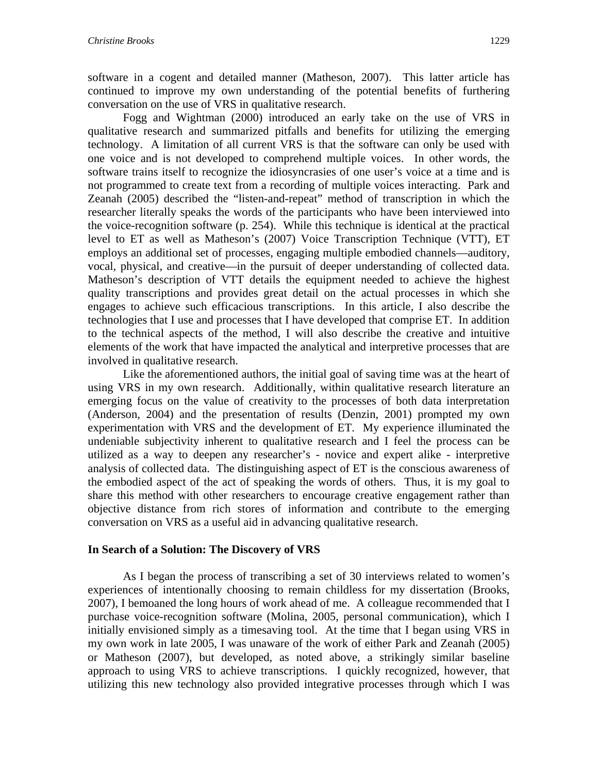software in a cogent and detailed manner (Matheson, 2007). This latter article has continued to improve my own understanding of the potential benefits of furthering conversation on the use of VRS in qualitative research.

Fogg and Wightman (2000) introduced an early take on the use of VRS in qualitative research and summarized pitfalls and benefits for utilizing the emerging technology. A limitation of all current VRS is that the software can only be used with one voice and is not developed to comprehend multiple voices. In other words, the software trains itself to recognize the idiosyncrasies of one user's voice at a time and is not programmed to create text from a recording of multiple voices interacting. Park and Zeanah (2005) described the "listen-and-repeat" method of transcription in which the researcher literally speaks the words of the participants who have been interviewed into the voice-recognition software (p. 254). While this technique is identical at the practical level to ET as well as Matheson's (2007) Voice Transcription Technique (VTT), ET employs an additional set of processes, engaging multiple embodied channels—auditory, vocal, physical, and creative—in the pursuit of deeper understanding of collected data. Matheson's description of VTT details the equipment needed to achieve the highest quality transcriptions and provides great detail on the actual processes in which she engages to achieve such efficacious transcriptions. In this article, I also describe the technologies that I use and processes that I have developed that comprise ET. In addition to the technical aspects of the method, I will also describe the creative and intuitive elements of the work that have impacted the analytical and interpretive processes that are involved in qualitative research.

Like the aforementioned authors, the initial goal of saving time was at the heart of using VRS in my own research. Additionally, within qualitative research literature an emerging focus on the value of creativity to the processes of both data interpretation (Anderson, 2004) and the presentation of results (Denzin, 2001) prompted my own experimentation with VRS and the development of ET. My experience illuminated the undeniable subjectivity inherent to qualitative research and I feel the process can be utilized as a way to deepen any researcher's - novice and expert alike - interpretive analysis of collected data. The distinguishing aspect of ET is the conscious awareness of the embodied aspect of the act of speaking the words of others. Thus, it is my goal to share this method with other researchers to encourage creative engagement rather than objective distance from rich stores of information and contribute to the emerging conversation on VRS as a useful aid in advancing qualitative research.

## **In Search of a Solution: The Discovery of VRS**

As I began the process of transcribing a set of 30 interviews related to women's experiences of intentionally choosing to remain childless for my dissertation (Brooks, 2007), I bemoaned the long hours of work ahead of me. A colleague recommended that I purchase voice-recognition software (Molina, 2005, personal communication), which I initially envisioned simply as a timesaving tool. At the time that I began using VRS in my own work in late 2005, I was unaware of the work of either Park and Zeanah (2005) or Matheson (2007), but developed, as noted above, a strikingly similar baseline approach to using VRS to achieve transcriptions. I quickly recognized, however, that utilizing this new technology also provided integrative processes through which I was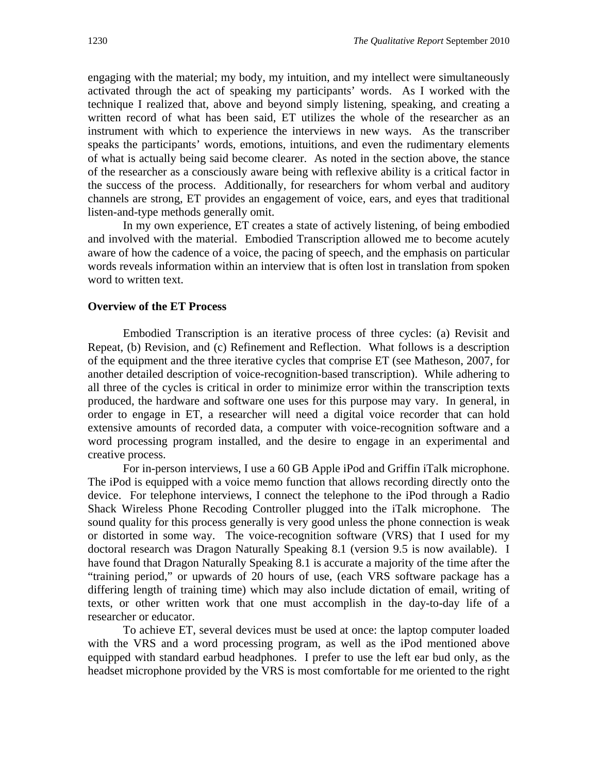engaging with the material; my body, my intuition, and my intellect were simultaneously activated through the act of speaking my participants' words. As I worked with the technique I realized that, above and beyond simply listening, speaking, and creating a written record of what has been said, ET utilizes the whole of the researcher as an instrument with which to experience the interviews in new ways. As the transcriber speaks the participants' words, emotions, intuitions, and even the rudimentary elements of what is actually being said become clearer. As noted in the section above, the stance of the researcher as a consciously aware being with reflexive ability is a critical factor in the success of the process. Additionally, for researchers for whom verbal and auditory channels are strong, ET provides an engagement of voice, ears, and eyes that traditional listen-and-type methods generally omit.

In my own experience, ET creates a state of actively listening, of being embodied and involved with the material. Embodied Transcription allowed me to become acutely aware of how the cadence of a voice, the pacing of speech, and the emphasis on particular words reveals information within an interview that is often lost in translation from spoken word to written text.

#### **Overview of the ET Process**

Embodied Transcription is an iterative process of three cycles: (a) Revisit and Repeat, (b) Revision, and (c) Refinement and Reflection. What follows is a description of the equipment and the three iterative cycles that comprise ET (see Matheson, 2007, for another detailed description of voice-recognition-based transcription). While adhering to all three of the cycles is critical in order to minimize error within the transcription texts produced, the hardware and software one uses for this purpose may vary. In general, in order to engage in ET, a researcher will need a digital voice recorder that can hold extensive amounts of recorded data, a computer with voice-recognition software and a word processing program installed, and the desire to engage in an experimental and creative process.

 For in-person interviews, I use a 60 GB Apple iPod and Griffin iTalk microphone. The iPod is equipped with a voice memo function that allows recording directly onto the device. For telephone interviews, I connect the telephone to the iPod through a Radio Shack Wireless Phone Recoding Controller plugged into the iTalk microphone. The sound quality for this process generally is very good unless the phone connection is weak or distorted in some way. The voice-recognition software (VRS) that I used for my doctoral research was Dragon Naturally Speaking 8.1 (version 9.5 is now available). I have found that Dragon Naturally Speaking 8.1 is accurate a majority of the time after the "training period," or upwards of 20 hours of use, (each VRS software package has a differing length of training time) which may also include dictation of email, writing of texts, or other written work that one must accomplish in the day-to-day life of a researcher or educator.

To achieve ET, several devices must be used at once: the laptop computer loaded with the VRS and a word processing program, as well as the iPod mentioned above equipped with standard earbud headphones. I prefer to use the left ear bud only, as the headset microphone provided by the VRS is most comfortable for me oriented to the right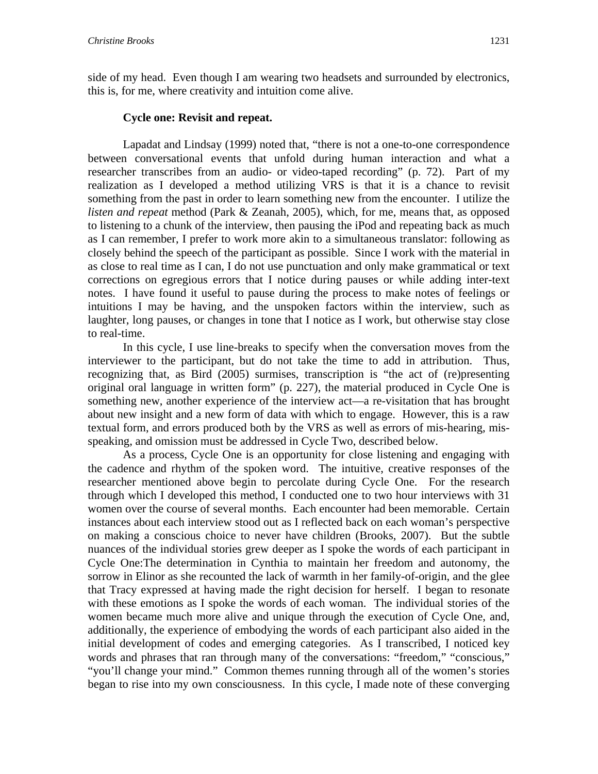side of my head. Even though I am wearing two headsets and surrounded by electronics, this is, for me, where creativity and intuition come alive.

## **Cycle one: Revisit and repeat.**

 Lapadat and Lindsay (1999) noted that, "there is not a one-to-one correspondence between conversational events that unfold during human interaction and what a researcher transcribes from an audio- or video-taped recording" (p. 72). Part of my realization as I developed a method utilizing VRS is that it is a chance to revisit something from the past in order to learn something new from the encounter. I utilize the *listen and repeat* method (Park & Zeanah, 2005), which, for me, means that, as opposed to listening to a chunk of the interview, then pausing the iPod and repeating back as much as I can remember, I prefer to work more akin to a simultaneous translator: following as closely behind the speech of the participant as possible. Since I work with the material in as close to real time as I can, I do not use punctuation and only make grammatical or text corrections on egregious errors that I notice during pauses or while adding inter-text notes. I have found it useful to pause during the process to make notes of feelings or intuitions I may be having, and the unspoken factors within the interview, such as laughter, long pauses, or changes in tone that I notice as I work, but otherwise stay close to real-time.

In this cycle, I use line-breaks to specify when the conversation moves from the interviewer to the participant, but do not take the time to add in attribution. Thus, recognizing that, as Bird (2005) surmises, transcription is "the act of (re)presenting original oral language in written form" (p. 227), the material produced in Cycle One is something new, another experience of the interview act—a re-visitation that has brought about new insight and a new form of data with which to engage. However, this is a raw textual form, and errors produced both by the VRS as well as errors of mis-hearing, misspeaking, and omission must be addressed in Cycle Two, described below.

As a process, Cycle One is an opportunity for close listening and engaging with the cadence and rhythm of the spoken word. The intuitive, creative responses of the researcher mentioned above begin to percolate during Cycle One. For the research through which I developed this method, I conducted one to two hour interviews with 31 women over the course of several months. Each encounter had been memorable. Certain instances about each interview stood out as I reflected back on each woman's perspective on making a conscious choice to never have children (Brooks, 2007). But the subtle nuances of the individual stories grew deeper as I spoke the words of each participant in Cycle One:The determination in Cynthia to maintain her freedom and autonomy, the sorrow in Elinor as she recounted the lack of warmth in her family-of-origin, and the glee that Tracy expressed at having made the right decision for herself. I began to resonate with these emotions as I spoke the words of each woman. The individual stories of the women became much more alive and unique through the execution of Cycle One, and, additionally, the experience of embodying the words of each participant also aided in the initial development of codes and emerging categories. As I transcribed, I noticed key words and phrases that ran through many of the conversations: "freedom," "conscious," "you'll change your mind." Common themes running through all of the women's stories began to rise into my own consciousness. In this cycle, I made note of these converging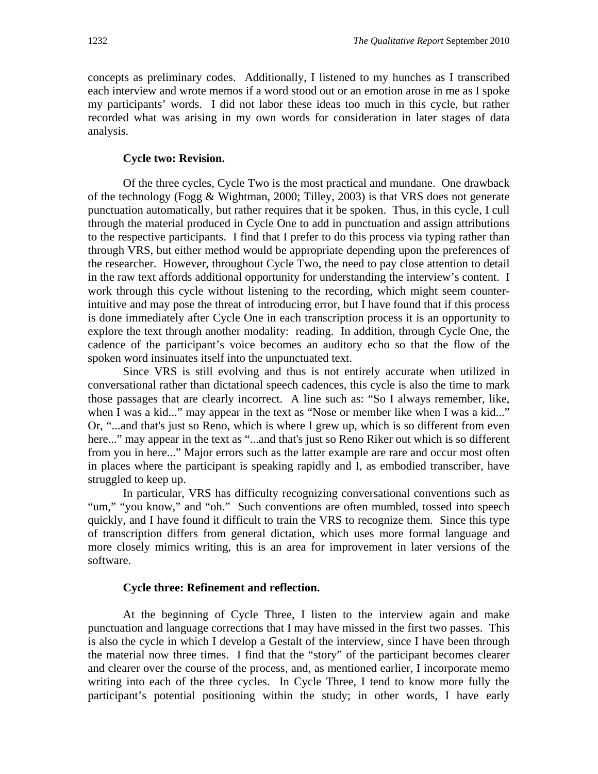concepts as preliminary codes. Additionally, I listened to my hunches as I transcribed each interview and wrote memos if a word stood out or an emotion arose in me as I spoke my participants' words. I did not labor these ideas too much in this cycle, but rather recorded what was arising in my own words for consideration in later stages of data analysis.

### **Cycle two: Revision.**

Of the three cycles, Cycle Two is the most practical and mundane. One drawback of the technology (Fogg & Wightman, 2000; Tilley, 2003) is that VRS does not generate punctuation automatically, but rather requires that it be spoken. Thus, in this cycle, I cull through the material produced in Cycle One to add in punctuation and assign attributions to the respective participants. I find that I prefer to do this process via typing rather than through VRS, but either method would be appropriate depending upon the preferences of the researcher. However, throughout Cycle Two, the need to pay close attention to detail in the raw text affords additional opportunity for understanding the interview's content. I work through this cycle without listening to the recording, which might seem counterintuitive and may pose the threat of introducing error, but I have found that if this process is done immediately after Cycle One in each transcription process it is an opportunity to explore the text through another modality: reading. In addition, through Cycle One, the cadence of the participant's voice becomes an auditory echo so that the flow of the spoken word insinuates itself into the unpunctuated text.

 Since VRS is still evolving and thus is not entirely accurate when utilized in conversational rather than dictational speech cadences, this cycle is also the time to mark those passages that are clearly incorrect. A line such as: "So I always remember, like, when I was a kid..." may appear in the text as "Nose or member like when I was a kid..." Or, "...and that's just so Reno, which is where I grew up, which is so different from even here..." may appear in the text as "...and that's just so Reno Riker out which is so different from you in here..." Major errors such as the latter example are rare and occur most often in places where the participant is speaking rapidly and I, as embodied transcriber, have struggled to keep up.

 In particular, VRS has difficulty recognizing conversational conventions such as "um," "you know," and "oh." Such conventions are often mumbled, tossed into speech quickly, and I have found it difficult to train the VRS to recognize them. Since this type of transcription differs from general dictation, which uses more formal language and more closely mimics writing, this is an area for improvement in later versions of the software.

#### **Cycle three: Refinement and reflection.**

At the beginning of Cycle Three, I listen to the interview again and make punctuation and language corrections that I may have missed in the first two passes. This is also the cycle in which I develop a Gestalt of the interview, since I have been through the material now three times. I find that the "story" of the participant becomes clearer and clearer over the course of the process, and, as mentioned earlier, I incorporate memo writing into each of the three cycles. In Cycle Three, I tend to know more fully the participant's potential positioning within the study; in other words, I have early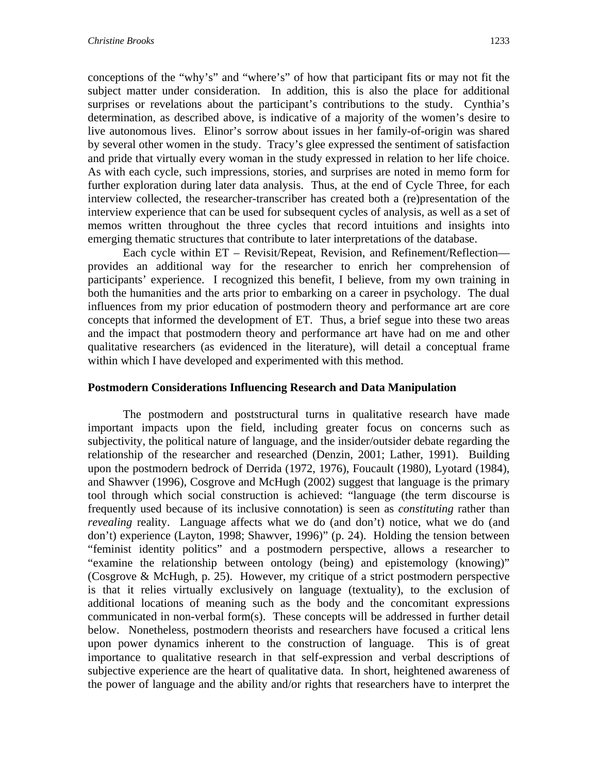conceptions of the "why's" and "where's" of how that participant fits or may not fit the subject matter under consideration. In addition, this is also the place for additional surprises or revelations about the participant's contributions to the study. Cynthia's determination, as described above, is indicative of a majority of the women's desire to live autonomous lives. Elinor's sorrow about issues in her family-of-origin was shared by several other women in the study. Tracy's glee expressed the sentiment of satisfaction and pride that virtually every woman in the study expressed in relation to her life choice. As with each cycle, such impressions, stories, and surprises are noted in memo form for further exploration during later data analysis. Thus, at the end of Cycle Three, for each interview collected, the researcher-transcriber has created both a (re)presentation of the interview experience that can be used for subsequent cycles of analysis, as well as a set of memos written throughout the three cycles that record intuitions and insights into emerging thematic structures that contribute to later interpretations of the database.

Each cycle within ET – Revisit/Repeat, Revision, and Refinement/Reflection provides an additional way for the researcher to enrich her comprehension of participants' experience. I recognized this benefit, I believe, from my own training in both the humanities and the arts prior to embarking on a career in psychology. The dual influences from my prior education of postmodern theory and performance art are core concepts that informed the development of ET. Thus, a brief segue into these two areas and the impact that postmodern theory and performance art have had on me and other qualitative researchers (as evidenced in the literature), will detail a conceptual frame within which I have developed and experimented with this method.

### **Postmodern Considerations Influencing Research and Data Manipulation**

 The postmodern and poststructural turns in qualitative research have made important impacts upon the field, including greater focus on concerns such as subjectivity, the political nature of language, and the insider/outsider debate regarding the relationship of the researcher and researched (Denzin, 2001; Lather, 1991). Building upon the postmodern bedrock of Derrida (1972, 1976), Foucault (1980), Lyotard (1984), and Shawver (1996), Cosgrove and McHugh (2002) suggest that language is the primary tool through which social construction is achieved: "language (the term discourse is frequently used because of its inclusive connotation) is seen as *constituting* rather than *revealing* reality. Language affects what we do (and don't) notice, what we do (and don't) experience (Layton, 1998; Shawver, 1996)" (p. 24). Holding the tension between "feminist identity politics" and a postmodern perspective, allows a researcher to "examine the relationship between ontology (being) and epistemology (knowing)" (Cosgrove & McHugh, p. 25). However, my critique of a strict postmodern perspective is that it relies virtually exclusively on language (textuality), to the exclusion of additional locations of meaning such as the body and the concomitant expressions communicated in non-verbal form(s). These concepts will be addressed in further detail below. Nonetheless, postmodern theorists and researchers have focused a critical lens upon power dynamics inherent to the construction of language. This is of great importance to qualitative research in that self-expression and verbal descriptions of subjective experience are the heart of qualitative data. In short, heightened awareness of the power of language and the ability and/or rights that researchers have to interpret the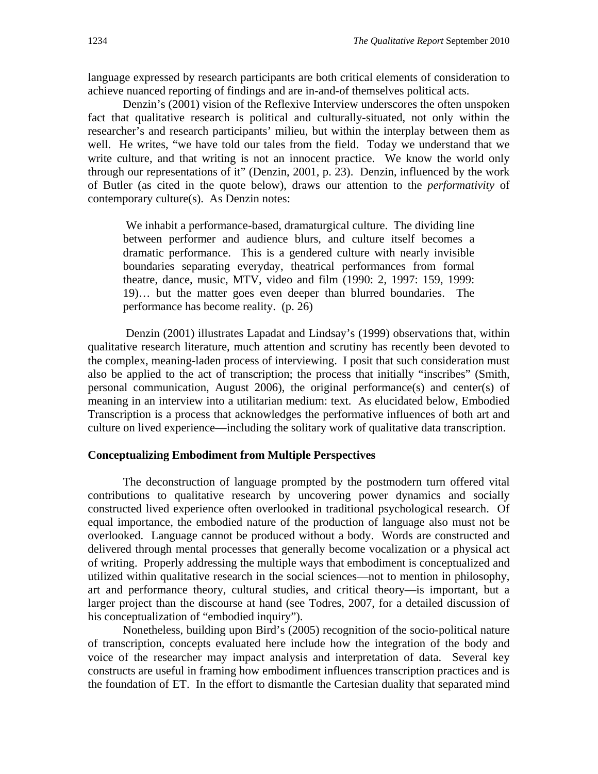language expressed by research participants are both critical elements of consideration to achieve nuanced reporting of findings and are in-and-of themselves political acts.

 Denzin's (2001) vision of the Reflexive Interview underscores the often unspoken fact that qualitative research is political and culturally-situated, not only within the researcher's and research participants' milieu, but within the interplay between them as well. He writes, "we have told our tales from the field. Today we understand that we write culture, and that writing is not an innocent practice. We know the world only through our representations of it" (Denzin, 2001, p. 23). Denzin, influenced by the work of Butler (as cited in the quote below), draws our attention to the *performativity* of contemporary culture(s). As Denzin notes:

 We inhabit a performance-based, dramaturgical culture. The dividing line between performer and audience blurs, and culture itself becomes a dramatic performance. This is a gendered culture with nearly invisible boundaries separating everyday, theatrical performances from formal theatre, dance, music, MTV, video and film (1990: 2, 1997: 159, 1999: 19)… but the matter goes even deeper than blurred boundaries. The performance has become reality. (p. 26)

 Denzin (2001) illustrates Lapadat and Lindsay's (1999) observations that, within qualitative research literature, much attention and scrutiny has recently been devoted to the complex, meaning-laden process of interviewing. I posit that such consideration must also be applied to the act of transcription; the process that initially "inscribes" (Smith, personal communication, August 2006), the original performance(s) and center(s) of meaning in an interview into a utilitarian medium: text. As elucidated below, Embodied Transcription is a process that acknowledges the performative influences of both art and culture on lived experience—including the solitary work of qualitative data transcription.

#### **Conceptualizing Embodiment from Multiple Perspectives**

The deconstruction of language prompted by the postmodern turn offered vital contributions to qualitative research by uncovering power dynamics and socially constructed lived experience often overlooked in traditional psychological research. Of equal importance, the embodied nature of the production of language also must not be overlooked. Language cannot be produced without a body. Words are constructed and delivered through mental processes that generally become vocalization or a physical act of writing. Properly addressing the multiple ways that embodiment is conceptualized and utilized within qualitative research in the social sciences—not to mention in philosophy, art and performance theory, cultural studies, and critical theory—is important, but a larger project than the discourse at hand (see Todres, 2007, for a detailed discussion of his conceptualization of "embodied inquiry").

 Nonetheless, building upon Bird's (2005) recognition of the socio-political nature of transcription, concepts evaluated here include how the integration of the body and voice of the researcher may impact analysis and interpretation of data. Several key constructs are useful in framing how embodiment influences transcription practices and is the foundation of ET. In the effort to dismantle the Cartesian duality that separated mind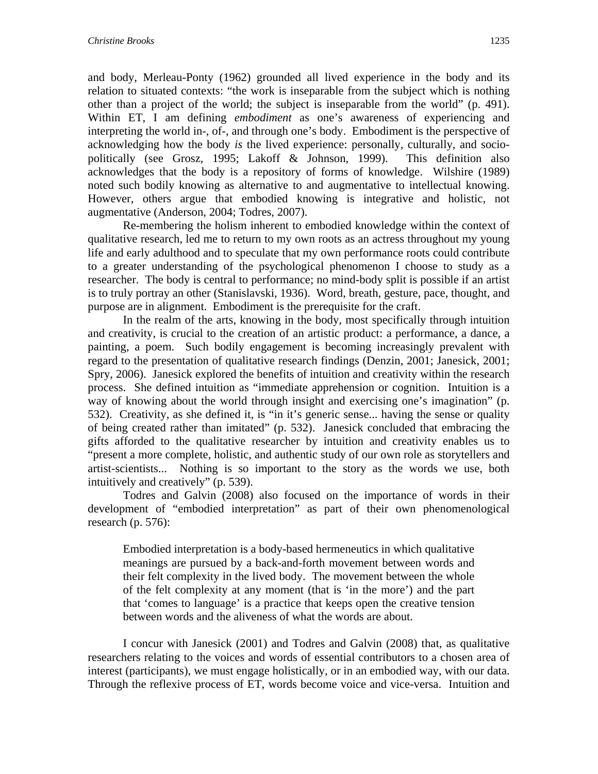and body, Merleau-Ponty (1962) grounded all lived experience in the body and its relation to situated contexts: "the work is inseparable from the subject which is nothing other than a project of the world; the subject is inseparable from the world" (p. 491). Within ET, I am defining *embodiment* as one's awareness of experiencing and interpreting the world in-, of-, and through one's body. Embodiment is the perspective of acknowledging how the body *is* the lived experience: personally, culturally, and sociopolitically (see Grosz, 1995; Lakoff & Johnson, 1999). This definition also acknowledges that the body is a repository of forms of knowledge. Wilshire (1989) noted such bodily knowing as alternative to and augmentative to intellectual knowing. However, others argue that embodied knowing is integrative and holistic, not augmentative (Anderson, 2004; Todres, 2007).

 Re-membering the holism inherent to embodied knowledge within the context of qualitative research, led me to return to my own roots as an actress throughout my young life and early adulthood and to speculate that my own performance roots could contribute to a greater understanding of the psychological phenomenon I choose to study as a researcher. The body is central to performance; no mind-body split is possible if an artist is to truly portray an other (Stanislavski, 1936). Word, breath, gesture, pace, thought, and purpose are in alignment. Embodiment is the prerequisite for the craft.

 In the realm of the arts, knowing in the body, most specifically through intuition and creativity, is crucial to the creation of an artistic product: a performance, a dance, a painting, a poem. Such bodily engagement is becoming increasingly prevalent with regard to the presentation of qualitative research findings (Denzin, 2001; Janesick, 2001; Spry, 2006). Janesick explored the benefits of intuition and creativity within the research process. She defined intuition as "immediate apprehension or cognition. Intuition is a way of knowing about the world through insight and exercising one's imagination" (p. 532). Creativity, as she defined it, is "in it's generic sense... having the sense or quality of being created rather than imitated" (p. 532). Janesick concluded that embracing the gifts afforded to the qualitative researcher by intuition and creativity enables us to "present a more complete, holistic, and authentic study of our own role as storytellers and artist-scientists... Nothing is so important to the story as the words we use, both intuitively and creatively" (p. 539).

 Todres and Galvin (2008) also focused on the importance of words in their development of "embodied interpretation" as part of their own phenomenological research (p. 576):

Embodied interpretation is a body-based hermeneutics in which qualitative meanings are pursued by a back-and-forth movement between words and their felt complexity in the lived body. The movement between the whole of the felt complexity at any moment (that is 'in the more') and the part that 'comes to language' is a practice that keeps open the creative tension between words and the aliveness of what the words are about.

I concur with Janesick (2001) and Todres and Galvin (2008) that, as qualitative researchers relating to the voices and words of essential contributors to a chosen area of interest (participants), we must engage holistically, or in an embodied way, with our data. Through the reflexive process of ET, words become voice and vice-versa. Intuition and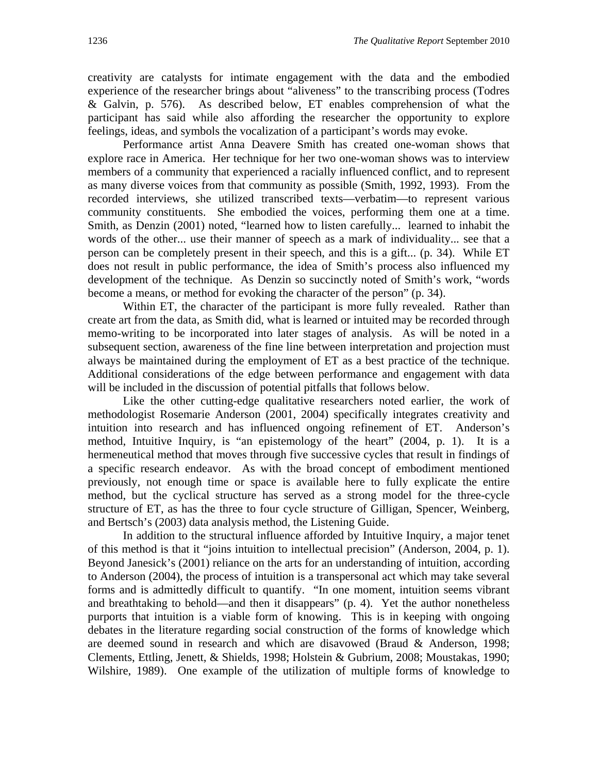creativity are catalysts for intimate engagement with the data and the embodied experience of the researcher brings about "aliveness" to the transcribing process (Todres & Galvin, p. 576). As described below, ET enables comprehension of what the participant has said while also affording the researcher the opportunity to explore feelings, ideas, and symbols the vocalization of a participant's words may evoke.

 Performance artist Anna Deavere Smith has created one-woman shows that explore race in America. Her technique for her two one-woman shows was to interview members of a community that experienced a racially influenced conflict, and to represent as many diverse voices from that community as possible (Smith, 1992, 1993). From the recorded interviews, she utilized transcribed texts—verbatim—to represent various community constituents. She embodied the voices, performing them one at a time. Smith, as Denzin (2001) noted, "learned how to listen carefully... learned to inhabit the words of the other... use their manner of speech as a mark of individuality... see that a person can be completely present in their speech, and this is a gift... (p. 34). While ET does not result in public performance, the idea of Smith's process also influenced my development of the technique. As Denzin so succinctly noted of Smith's work, "words become a means, or method for evoking the character of the person" (p. 34).

Within ET, the character of the participant is more fully revealed. Rather than create art from the data, as Smith did, what is learned or intuited may be recorded through memo-writing to be incorporated into later stages of analysis. As will be noted in a subsequent section, awareness of the fine line between interpretation and projection must always be maintained during the employment of ET as a best practice of the technique. Additional considerations of the edge between performance and engagement with data will be included in the discussion of potential pitfalls that follows below.

 Like the other cutting-edge qualitative researchers noted earlier, the work of methodologist Rosemarie Anderson (2001, 2004) specifically integrates creativity and intuition into research and has influenced ongoing refinement of ET. Anderson's method, Intuitive Inquiry, is "an epistemology of the heart" (2004, p. 1). It is a hermeneutical method that moves through five successive cycles that result in findings of a specific research endeavor. As with the broad concept of embodiment mentioned previously, not enough time or space is available here to fully explicate the entire method, but the cyclical structure has served as a strong model for the three-cycle structure of ET, as has the three to four cycle structure of Gilligan, Spencer, Weinberg, and Bertsch's (2003) data analysis method, the Listening Guide.

 In addition to the structural influence afforded by Intuitive Inquiry, a major tenet of this method is that it "joins intuition to intellectual precision" (Anderson, 2004, p. 1). Beyond Janesick's (2001) reliance on the arts for an understanding of intuition, according to Anderson (2004), the process of intuition is a transpersonal act which may take several forms and is admittedly difficult to quantify. "In one moment, intuition seems vibrant and breathtaking to behold—and then it disappears" (p. 4). Yet the author nonetheless purports that intuition is a viable form of knowing. This is in keeping with ongoing debates in the literature regarding social construction of the forms of knowledge which are deemed sound in research and which are disavowed (Braud & Anderson, 1998; Clements, Ettling, Jenett, & Shields, 1998; Holstein & Gubrium, 2008; Moustakas, 1990; Wilshire, 1989). One example of the utilization of multiple forms of knowledge to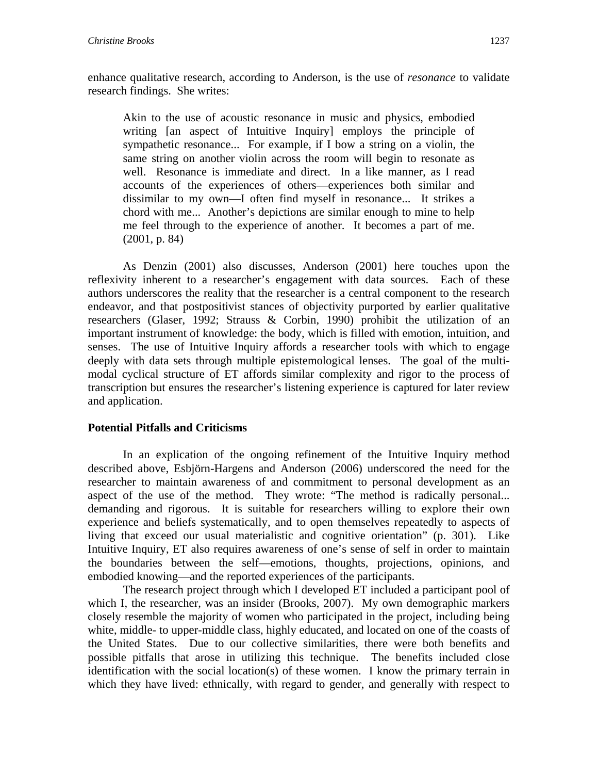enhance qualitative research, according to Anderson, is the use of *resonance* to validate research findings. She writes:

Akin to the use of acoustic resonance in music and physics, embodied writing [an aspect of Intuitive Inquiry] employs the principle of sympathetic resonance... For example, if I bow a string on a violin, the same string on another violin across the room will begin to resonate as well. Resonance is immediate and direct. In a like manner, as I read accounts of the experiences of others—experiences both similar and dissimilar to my own—I often find myself in resonance... It strikes a chord with me... Another's depictions are similar enough to mine to help me feel through to the experience of another. It becomes a part of me. (2001, p. 84)

As Denzin (2001) also discusses, Anderson (2001) here touches upon the reflexivity inherent to a researcher's engagement with data sources. Each of these authors underscores the reality that the researcher is a central component to the research endeavor, and that postpositivist stances of objectivity purported by earlier qualitative researchers (Glaser, 1992; Strauss & Corbin, 1990) prohibit the utilization of an important instrument of knowledge: the body, which is filled with emotion, intuition, and senses. The use of Intuitive Inquiry affords a researcher tools with which to engage deeply with data sets through multiple epistemological lenses. The goal of the multimodal cyclical structure of ET affords similar complexity and rigor to the process of transcription but ensures the researcher's listening experience is captured for later review and application.

## **Potential Pitfalls and Criticisms**

 In an explication of the ongoing refinement of the Intuitive Inquiry method described above, Esbjörn-Hargens and Anderson (2006) underscored the need for the researcher to maintain awareness of and commitment to personal development as an aspect of the use of the method. They wrote: "The method is radically personal... demanding and rigorous. It is suitable for researchers willing to explore their own experience and beliefs systematically, and to open themselves repeatedly to aspects of living that exceed our usual materialistic and cognitive orientation" (p. 301). Like Intuitive Inquiry, ET also requires awareness of one's sense of self in order to maintain the boundaries between the self—emotions, thoughts, projections, opinions, and embodied knowing—and the reported experiences of the participants.

 The research project through which I developed ET included a participant pool of which I, the researcher, was an insider (Brooks, 2007). My own demographic markers closely resemble the majority of women who participated in the project, including being white, middle- to upper-middle class, highly educated, and located on one of the coasts of the United States. Due to our collective similarities, there were both benefits and possible pitfalls that arose in utilizing this technique. The benefits included close identification with the social location(s) of these women. I know the primary terrain in which they have lived: ethnically, with regard to gender, and generally with respect to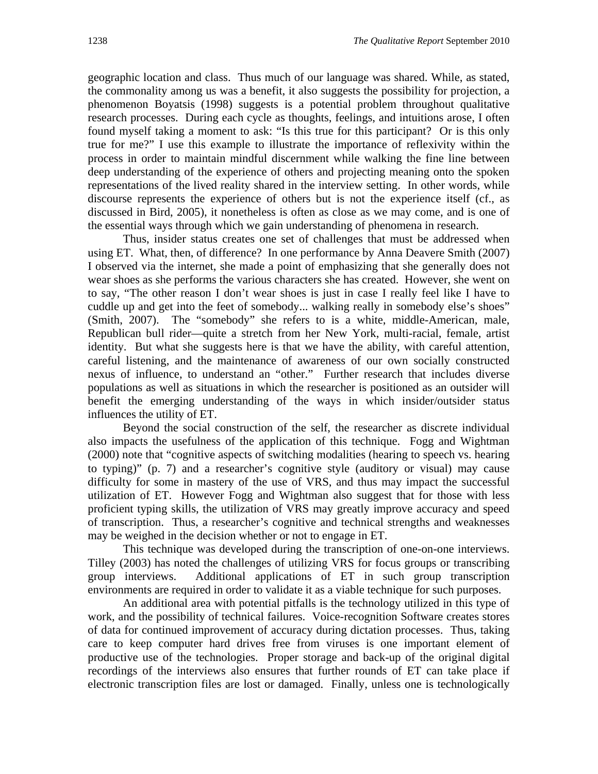geographic location and class. Thus much of our language was shared. While, as stated, the commonality among us was a benefit, it also suggests the possibility for projection, a phenomenon Boyatsis (1998) suggests is a potential problem throughout qualitative research processes. During each cycle as thoughts, feelings, and intuitions arose, I often found myself taking a moment to ask: "Is this true for this participant? Or is this only true for me?" I use this example to illustrate the importance of reflexivity within the process in order to maintain mindful discernment while walking the fine line between deep understanding of the experience of others and projecting meaning onto the spoken representations of the lived reality shared in the interview setting. In other words, while discourse represents the experience of others but is not the experience itself (cf., as discussed in Bird, 2005), it nonetheless is often as close as we may come, and is one of the essential ways through which we gain understanding of phenomena in research.

 Thus, insider status creates one set of challenges that must be addressed when using ET. What, then, of difference? In one performance by Anna Deavere Smith (2007) I observed via the internet, she made a point of emphasizing that she generally does not wear shoes as she performs the various characters she has created. However, she went on to say, "The other reason I don't wear shoes is just in case I really feel like I have to cuddle up and get into the feet of somebody... walking really in somebody else's shoes" (Smith, 2007). The "somebody" she refers to is a white, middle-American, male, Republican bull rider—quite a stretch from her New York, multi-racial, female, artist identity. But what she suggests here is that we have the ability, with careful attention, careful listening, and the maintenance of awareness of our own socially constructed nexus of influence, to understand an "other." Further research that includes diverse populations as well as situations in which the researcher is positioned as an outsider will benefit the emerging understanding of the ways in which insider/outsider status influences the utility of ET.

 Beyond the social construction of the self, the researcher as discrete individual also impacts the usefulness of the application of this technique. Fogg and Wightman (2000) note that "cognitive aspects of switching modalities (hearing to speech vs. hearing to typing)" (p. 7) and a researcher's cognitive style (auditory or visual) may cause difficulty for some in mastery of the use of VRS, and thus may impact the successful utilization of ET. However Fogg and Wightman also suggest that for those with less proficient typing skills, the utilization of VRS may greatly improve accuracy and speed of transcription. Thus, a researcher's cognitive and technical strengths and weaknesses may be weighed in the decision whether or not to engage in ET.

 This technique was developed during the transcription of one-on-one interviews. Tilley (2003) has noted the challenges of utilizing VRS for focus groups or transcribing group interviews. Additional applications of ET in such group transcription environments are required in order to validate it as a viable technique for such purposes.

An additional area with potential pitfalls is the technology utilized in this type of work, and the possibility of technical failures. Voice-recognition Software creates stores of data for continued improvement of accuracy during dictation processes. Thus, taking care to keep computer hard drives free from viruses is one important element of productive use of the technologies. Proper storage and back-up of the original digital recordings of the interviews also ensures that further rounds of ET can take place if electronic transcription files are lost or damaged. Finally, unless one is technologically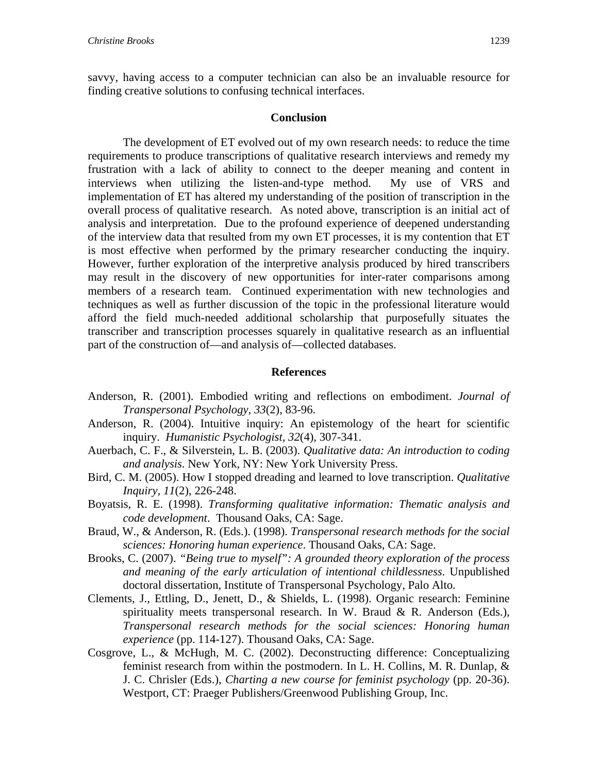savvy, having access to a computer technician can also be an invaluable resource for finding creative solutions to confusing technical interfaces.

#### **Conclusion**

The development of ET evolved out of my own research needs: to reduce the time requirements to produce transcriptions of qualitative research interviews and remedy my frustration with a lack of ability to connect to the deeper meaning and content in interviews when utilizing the listen-and-type method. My use of VRS and implementation of ET has altered my understanding of the position of transcription in the overall process of qualitative research. As noted above, transcription is an initial act of analysis and interpretation. Due to the profound experience of deepened understanding of the interview data that resulted from my own ET processes, it is my contention that ET is most effective when performed by the primary researcher conducting the inquiry. However, further exploration of the interpretive analysis produced by hired transcribers may result in the discovery of new opportunities for inter-rater comparisons among members of a research team. Continued experimentation with new technologies and techniques as well as further discussion of the topic in the professional literature would afford the field much-needed additional scholarship that purposefully situates the transcriber and transcription processes squarely in qualitative research as an influential part of the construction of—and analysis of—collected databases.

#### **References**

- Anderson, R. (2001). Embodied writing and reflections on embodiment. *Journal of Transpersonal Psychology, 33*(2), 83-96.
- Anderson, R. (2004). Intuitive inquiry: An epistemology of the heart for scientific inquiry. *Humanistic Psychologist, 32*(4), 307-341.
- Auerbach, C. F., & Silverstein, L. B. (2003). *Qualitative data: An introduction to coding and analysis*. New York, NY: New York University Press.
- Bird, C. M. (2005). How I stopped dreading and learned to love transcription. *Qualitative Inquiry, 11*(2), 226-248.
- Boyatsis, R. E. (1998). *Transforming qualitative information: Thematic analysis and code development*. Thousand Oaks, CA: Sage.
- Braud, W., & Anderson, R. (Eds.). (1998). *Transpersonal research methods for the social sciences: Honoring human experience*. Thousand Oaks, CA: Sage.
- Brooks, C. (2007). *"Being true to myself": A grounded theory exploration of the process and meaning of the early articulation of intentional childlessness*. Unpublished doctoral dissertation, Institute of Transpersonal Psychology, Palo Alto.
- Clements, J., Ettling, D., Jenett, D., & Shields, L. (1998). Organic research: Feminine spirituality meets transpersonal research. In W. Braud & R. Anderson (Eds.), *Transpersonal research methods for the social sciences: Honoring human experience* (pp. 114-127). Thousand Oaks, CA: Sage.
- Cosgrove, L., & McHugh, M. C. (2002). Deconstructing difference: Conceptualizing feminist research from within the postmodern. In L. H. Collins, M. R. Dunlap, & J. C. Chrisler (Eds.), *Charting a new course for feminist psychology* (pp. 20-36). Westport, CT: Praeger Publishers/Greenwood Publishing Group, Inc.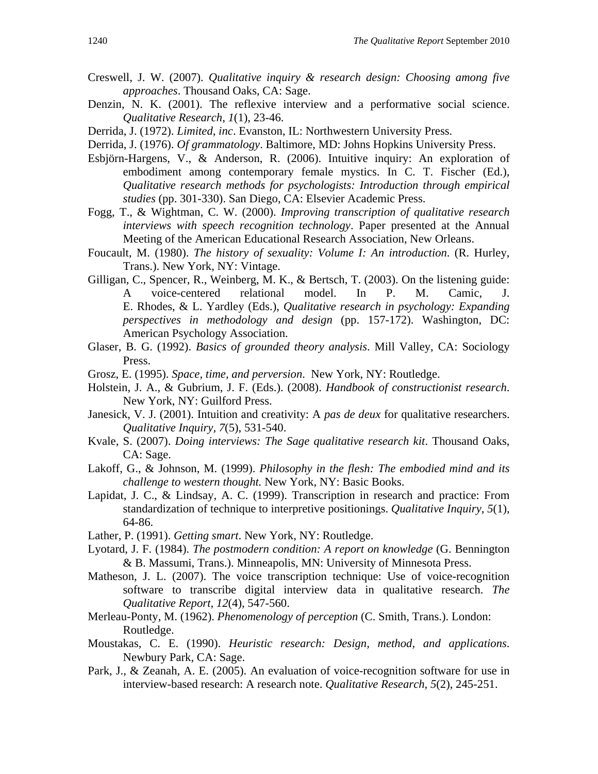- Creswell, J. W. (2007). *Qualitative inquiry & research design: Choosing among five approaches*. Thousand Oaks, CA: Sage.
- Denzin, N. K. (2001). The reflexive interview and a performative social science. *Qualitative Research, 1*(1), 23-46.
- Derrida, J. (1972). *Limited, inc*. Evanston, IL: Northwestern University Press.
- Derrida, J. (1976). *Of grammatology*. Baltimore, MD: Johns Hopkins University Press.
- Esbjörn-Hargens, V., & Anderson, R. (2006). Intuitive inquiry: An exploration of embodiment among contemporary female mystics. In C. T. Fischer (Ed.), *Qualitative research methods for psychologists: Introduction through empirical studies* (pp. 301-330). San Diego, CA: Elsevier Academic Press.
- Fogg, T., & Wightman, C. W. (2000). *Improving transcription of qualitative research interviews with speech recognition technology*. Paper presented at the Annual Meeting of the American Educational Research Association, New Orleans.
- Foucault, M. (1980). *The history of sexuality: Volume I: An introduction*. (R. Hurley, Trans.). New York, NY: Vintage.
- Gilligan, C., Spencer, R., Weinberg, M. K., & Bertsch, T. (2003). On the listening guide: A voice-centered relational model. In P. M. Camic, J. E. Rhodes, & L. Yardley (Eds.), *Qualitative research in psychology: Expanding perspectives in methodology and design* (pp. 157-172). Washington, DC: American Psychology Association.
- Glaser, B. G. (1992). *Basics of grounded theory analysis*. Mill Valley, CA: Sociology Press.
- Grosz, E. (1995). *Space, time, and perversion*. New York, NY: Routledge.
- Holstein, J. A., & Gubrium, J. F. (Eds.). (2008). *Handbook of constructionist research*. New York, NY: Guilford Press.
- Janesick, V. J. (2001). Intuition and creativity: A *pas de deux* for qualitative researchers. *Qualitative Inquiry, 7*(5), 531-540.
- Kvale, S. (2007). *Doing interviews: The Sage qualitative research kit*. Thousand Oaks, CA: Sage.
- Lakoff, G., & Johnson, M. (1999). *Philosophy in the flesh: The embodied mind and its challenge to western thought.* New York, NY: Basic Books.
- Lapidat, J. C., & Lindsay, A. C. (1999). Transcription in research and practice: From standardization of technique to interpretive positionings. *Qualitative Inquiry, 5*(1), 64-86.
- Lather, P. (1991). *Getting smart*. New York, NY: Routledge.
- Lyotard, J. F. (1984). *The postmodern condition: A report on knowledge* (G. Bennington & B. Massumi, Trans.). Minneapolis, MN: University of Minnesota Press.
- Matheson, J. L. (2007). The voice transcription technique: Use of voice-recognition software to transcribe digital interview data in qualitative research. *The Qualitative Report, 12*(4), 547-560.
- Merleau-Ponty, M. (1962). *Phenomenology of perception* (C. Smith, Trans.). London: Routledge.
- Moustakas, C. E. (1990). *Heuristic research: Design, method, and applications*. Newbury Park, CA: Sage.
- Park, J., & Zeanah, A. E. (2005). An evaluation of voice-recognition software for use in interview-based research: A research note. *Qualitative Research, 5*(2), 245-251.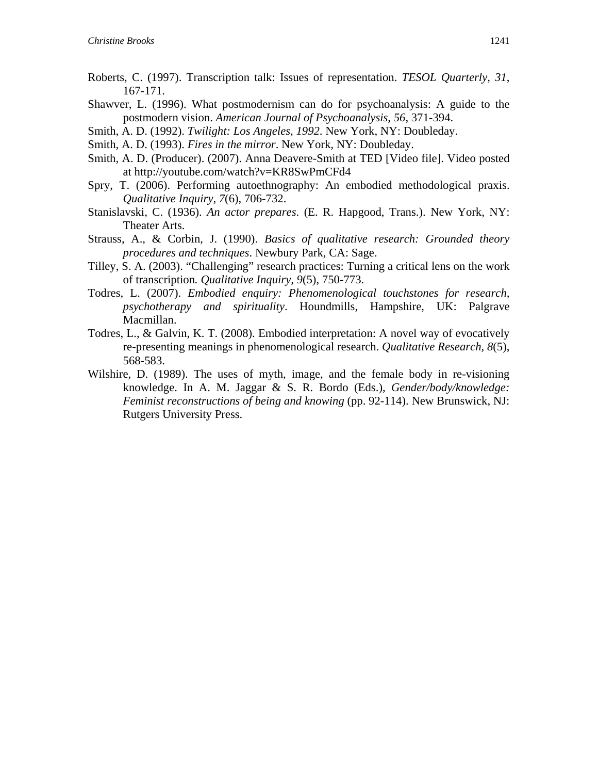- Roberts, C. (1997). Transcription talk: Issues of representation. *TESOL Quarterly, 31*, 167-171.
- Shawver, L. (1996). What postmodernism can do for psychoanalysis: A guide to the postmodern vision. *American Journal of Psychoanalysis, 56*, 371-394.
- Smith, A. D. (1992). *Twilight: Los Angeles, 1992*. New York, NY: Doubleday.
- Smith, A. D. (1993). *Fires in the mirror*. New York, NY: Doubleday.
- Smith, A. D. (Producer). (2007). Anna Deavere-Smith at TED [Video file]. Video posted at http://youtube.com/watch?v=KR8SwPmCFd4
- Spry, T. (2006). Performing autoethnography: An embodied methodological praxis. *Qualitative Inquiry, 7*(6), 706-732.
- Stanislavski, C. (1936). *An actor prepares*. (E. R. Hapgood, Trans.). New York, NY: Theater Arts.
- Strauss, A., & Corbin, J. (1990). *Basics of qualitative research: Grounded theory procedures and techniques*. Newbury Park, CA: Sage.
- Tilley, S. A. (2003). "Challenging" research practices: Turning a critical lens on the work of transcription*. Qualitative Inquiry, 9*(5), 750-773.
- Todres, L. (2007). *Embodied enquiry: Phenomenological touchstones for research, psychotherapy and spirituality*. Houndmills, Hampshire, UK: Palgrave Macmillan.
- Todres, L., & Galvin, K. T. (2008). Embodied interpretation: A novel way of evocatively re-presenting meanings in phenomenological research. *Qualitative Research, 8*(5), 568-583.
- Wilshire, D. (1989). The uses of myth, image, and the female body in re-visioning knowledge. In A. M. Jaggar & S. R. Bordo (Eds.), *Gender/body/knowledge: Feminist reconstructions of being and knowing (pp. 92-114). New Brunswick, NJ:* Rutgers University Press.